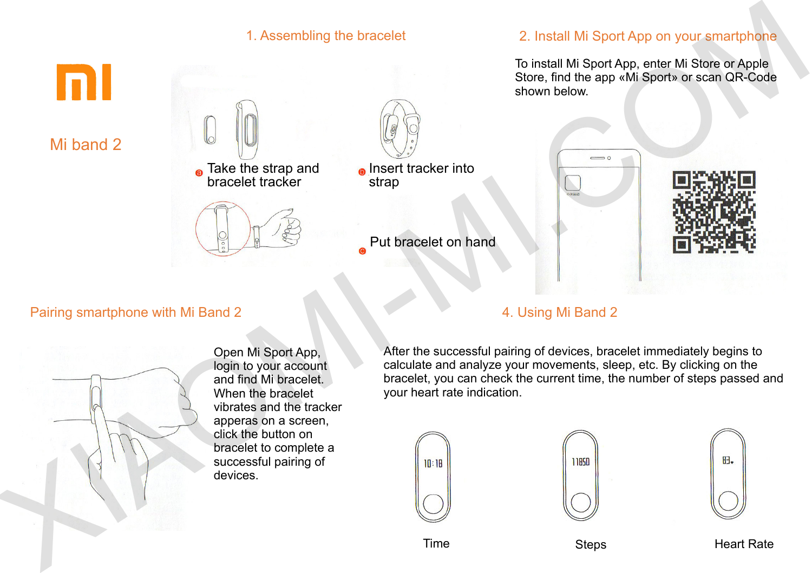

Mi band 2



## 1. Assembling the bracelet 2. Install Mi Sport App on your smartphone

To install Mi Sport App, enter Mi Store or Apple Store, find the app «Mi Sport» or scan QR-Code shown below.



#### Pairing smartphone with Mi Band 2



Open Mi Sport App, login to your account and find Mi bracelet. When the bracelet vibrates and the tracker apperas on a screen, click the button on bracelet to complete a successful pairing of devices.

#### 4. Using Mi Band 2

After the successful pairing of devices, bracelet immediately begins to calculate and analyze your movements, sleep, etc. By clicking on the bracelet, you can check the current time, the number of steps passed and your heart rate indication.







Time Steps Steps Heart Rate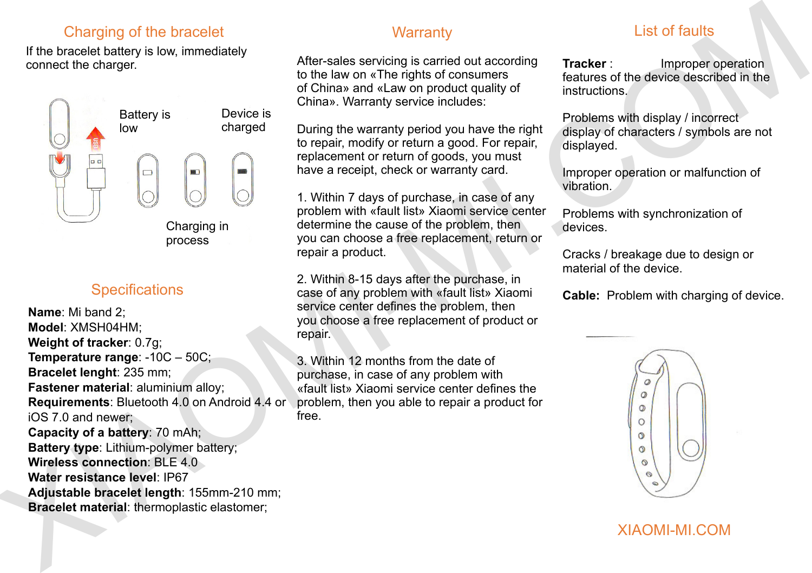## Charging of the bracelet

If the bracelet battery is low, immediately connect the charger.



## **Specifications**

**Name**: Mi band 2; **Model**: XMSH04HM; **Weight of tracker**: 0.7g; **Temperature range**: -10C – 50C; **Bracelet lenght**: 235 mm; **Fastener material**: aluminium alloy; **Requirements**: Bluetooth 4.0 on Android 4.4 or iOS 7.0 and newer; **Capacity of a battery**: 70 mAh; **Battery type**: Lithium-polymer battery; **Wireless connection: BLE 4.0 Water resistance level**: ІР67 **Adjustable bracelet length**: 155mm-210 mm; **Bracelet material**: thermoplastic elastomer; Charging of the bracelet Warranty<br>
XII the throcelet battery is low, numeristic eye of the since servicing is carried column and the adjustment of the distribution is carried to the since of the distribution is formulated

### **Warranty**

After-sales servicing is carried out according to the law on «The rights of consumers of China» and «Law on product quality of China». Warranty service includes:

During the warranty period you have the right to repair, modify or return a good. For repair, replacement or return of goods, you must have a receipt, check or warranty card.

1. Within 7 days of purchase, in case of any problem with «fault list» Xiaomi service center determine the cause of the problem, then you can choose a free replacement, return or repair a product.

2. Within 8-15 days after the purchase, in case of any problem with «fault list» Xiaomi service center defines the problem, then you choose a free replacement of product or repair.

3. Within 12 months from the date of purchase, in case of any problem with «fault list» Xiaomi service center defines the problem, then you able to repair a product for free.

# List of faults

**Tracker** : Improper operation features of the device described in the instructions.

Problems with display / incorrect display of characters / symbols are not displayed.

Improper operation or malfunction of vibration.

Problems with synchronization of devices.

Cracks / breakage due to design or material of the device.

**Cable:** Problem with charging of device.



## XIAOMI-MI.COM